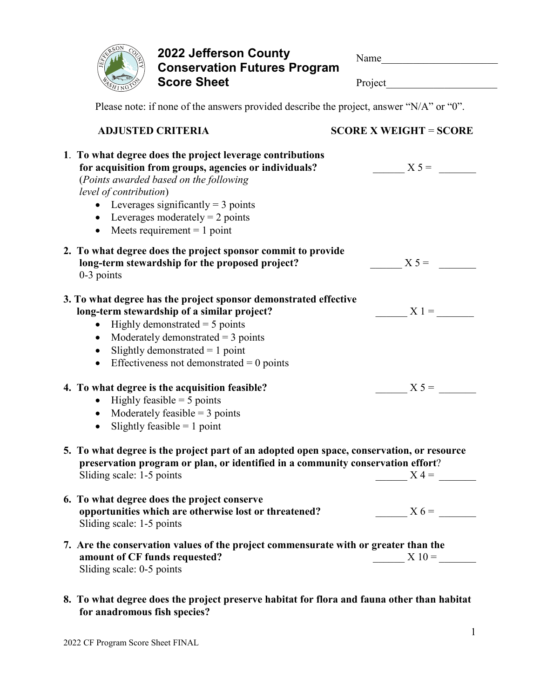

**2022 Jefferson County Conservation Futures Program Score Sheet**

| Name                         |  |
|------------------------------|--|
| Project                      |  |
| roject, answer "N/A" or "0". |  |

Please note: if none of the answers provided describe the project

| <b>ADJUSTED CRITERIA</b>                                                                                                                                                                                                                                                                                               | <b>SCORE X WEIGHT = SCORE</b> |
|------------------------------------------------------------------------------------------------------------------------------------------------------------------------------------------------------------------------------------------------------------------------------------------------------------------------|-------------------------------|
| 1. To what degree does the project leverage contributions<br>for acquisition from groups, agencies or individuals?<br>(Points awarded based on the following<br>level of contribution)<br>• Leverages significantly = $3$ points<br>• Leverages moderately = $2$ points<br>• Meets requirement $= 1$ point             | $X 5 =$                       |
| 2. To what degree does the project sponsor commit to provide<br>long-term stewardship for the proposed project?<br>$0-3$ points                                                                                                                                                                                        | $X 5 =$                       |
| 3. To what degree has the project sponsor demonstrated effective<br>long-term stewardship of a similar project?<br>Highly demonstrated $=$ 5 points<br>Moderately demonstrated $=$ 3 points<br>$\bullet$<br>Slightly demonstrated $= 1$ point<br>$\bullet$<br>Effectiveness not demonstrated $= 0$ points<br>$\bullet$ | $X1 =$                        |
| 4. To what degree is the acquisition feasible?<br>Highly feasible $=$ 5 points<br>$\bullet$<br>• Moderately feasible $=$ 3 points<br>Slightly feasible $= 1$ point<br>$\bullet$                                                                                                                                        | $X 5 =$                       |
| 5. To what degree is the project part of an adopted open space, conservation, or resource<br>preservation program or plan, or identified in a community conservation effort?<br>Sliding scale: 1-5 points                                                                                                              | $X =$                         |
| 6. To what degree does the project conserve<br>opportunities which are otherwise lost or threatened?<br>Sliding scale: 1-5 points                                                                                                                                                                                      | $X6=$                         |
| 7. Are the conservation values of the project commensurate with or greater than the<br>amount of CF funds requested?<br>Sliding scale: 0-5 points                                                                                                                                                                      | $X_10=$                       |

**8. To what degree does the project preserve habitat for flora and fauna other than habitat for anadromous fish species?**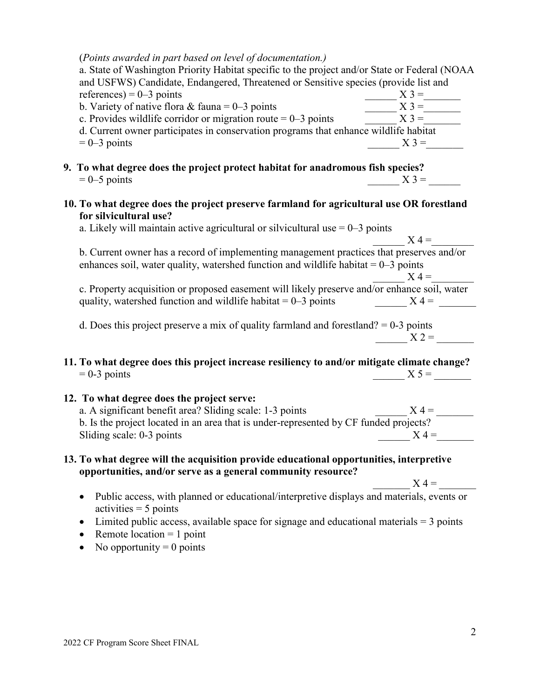| (Points awarded in part based on level of documentation.)<br>a. State of Washington Priority Habitat specific to the project and/or State or Federal (NOAA<br>and USFWS) Candidate, Endangered, Threatened or Sensitive species (provide list and |         |
|---------------------------------------------------------------------------------------------------------------------------------------------------------------------------------------------------------------------------------------------------|---------|
| references) = $0-3$ points                                                                                                                                                                                                                        | $X$ 3 = |
| b. Variety of native flora & fauna = $0-3$ points                                                                                                                                                                                                 | $X$ 3 = |
| c. Provides wildlife corridor or migration route $= 0-3$ points                                                                                                                                                                                   | $X3 =$  |
| d. Current owner participates in conservation programs that enhance wildlife habitat                                                                                                                                                              |         |
| $= 0 - 3$ points                                                                                                                                                                                                                                  | $X$ 3 = |
| 9. To what degree does the project protect habitat for anadromous fish species?                                                                                                                                                                   |         |
| $= 0 - 5$ points                                                                                                                                                                                                                                  | $X3=$   |
| 10. To what degree does the project preserve farmland for agricultural use OR forestland<br>for silvicultural use?<br>a. Likely will maintain active agricultural or silvicultural use $= 0-3$ points                                             | $X =$   |
| b. Current owner has a record of implementing management practices that preserves and/or                                                                                                                                                          |         |
| enhances soil, water quality, watershed function and wildlife habitat $= 0-3$ points                                                                                                                                                              |         |
|                                                                                                                                                                                                                                                   | $X =$   |
| c. Property acquisition or proposed easement will likely preserve and/or enhance soil, water<br>quality, watershed function and wildlife habitat = $0-3$ points $X = 4 = 2$                                                                       |         |
| d. Does this project preserve a mix of quality farmland and forestland? $= 0-3$ points                                                                                                                                                            | $X 2 =$ |
| 11. To what degree does this project increase resiliency to and/or mitigate climate change?<br>$= 0-3$ points                                                                                                                                     | $X 5 =$ |
| 12. To what degree does the project serve:                                                                                                                                                                                                        |         |
| a. A significant benefit area? Sliding scale: 1-3 points                                                                                                                                                                                          | $X =$   |
| b. Is the project located in an area that is under-represented by CF funded projects?                                                                                                                                                             |         |
| Sliding scale: 0-3 points                                                                                                                                                                                                                         | $X =$   |
| 13. To what degree will the acquisition provide educational opportunities, interpretive<br>opportunities, and/or serve as a general community resource?                                                                                           |         |
|                                                                                                                                                                                                                                                   | $X =$   |
| Public access, with planned or educational/interpretive displays and materials, events or                                                                                                                                                         |         |

- $\text{activities} = 5 \text{ points}$
- $\bullet$  Limited public access, available space for signage and educational materials = 3 points
- Remote location  $= 1$  point
- No opportunity  $= 0$  points